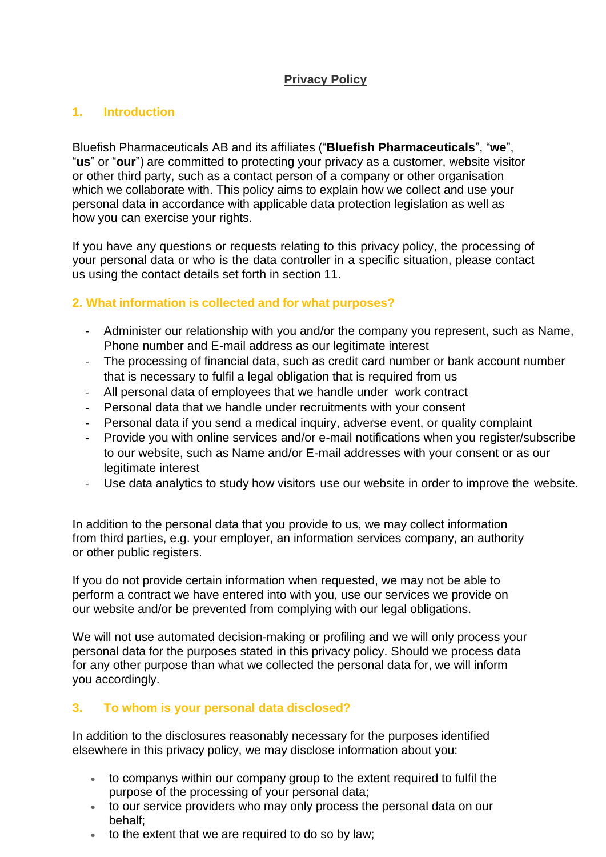# **Privacy Policy**

## **1. Introduction**

Bluefish Pharmaceuticals AB and its affiliates ("**Bluefish Pharmaceuticals**", "**we**", "**us**" or "**our**") are committed to protecting your privacy as a customer, website visitor or other third party, such as a contact person of a company or other organisation which we collaborate with. This policy aims to explain how we collect and use your personal data in accordance with applicable data protection legislation as well as how you can exercise your rights.

If you have any questions or requests relating to this privacy policy, the processing of your personal data or who is the data controller in a specific situation, please contact us using the contact details set forth in section 11.

## **2. What information is collected and for what purposes?**

- Administer our relationship with you and/or the company you represent, such as Name, Phone number and E-mail address as our legitimate interest
- The processing of financial data, such as credit card number or bank account number that is necessary to fulfil a legal obligation that is required from us
- All personal data of employees that we handle under work contract
- Personal data that we handle under recruitments with your consent
- Personal data if you send a medical inquiry, adverse event, or quality complaint
- Provide you with online services and/or e-mail notifications when you register/subscribe to our website, such as Name and/or E-mail addresses with your consent or as our legitimate interest
- Use data analytics to study how visitors use our website in order to improve the website.

In addition to the personal data that you provide to us, we may collect information from third parties, e.g. your employer, an information services company, an authority or other public registers.

If you do not provide certain information when requested, we may not be able to perform a contract we have entered into with you, use our services we provide on our website and/or be prevented from complying with our legal obligations.

We will not use automated decision-making or profiling and we will only process your personal data for the purposes stated in this privacy policy. Should we process data for any other purpose than what we collected the personal data for, we will inform you accordingly.

# **3. To whom is your personal data disclosed?**

In addition to the disclosures reasonably necessary for the purposes identified elsewhere in this privacy policy, we may disclose information about you:

- to companys within our company group to the extent required to fulfil the purpose of the processing of your personal data;
- to our service providers who may only process the personal data on our behalf;
- to the extent that we are required to do so by law;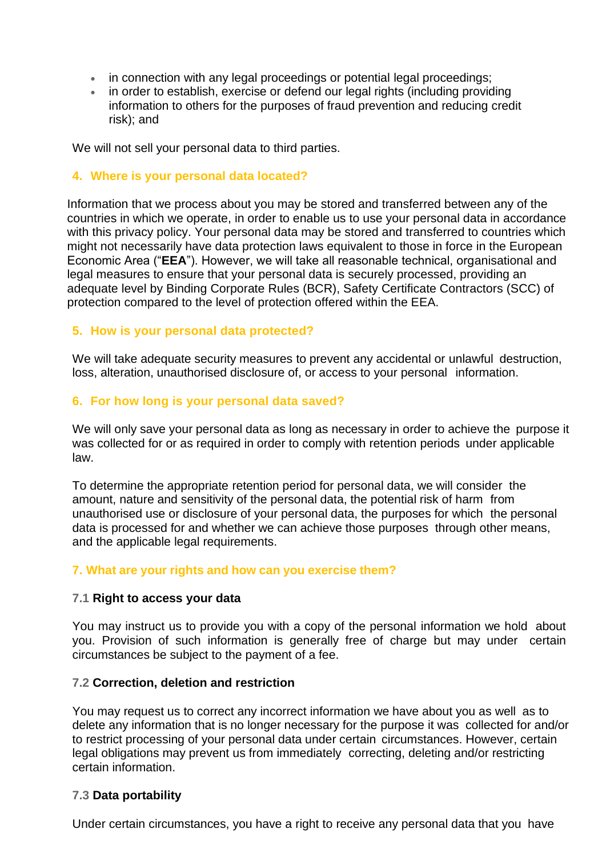- in connection with any legal proceedings or potential legal proceedings;
- in order to establish, exercise or defend our legal rights (including providing information to others for the purposes of fraud prevention and reducing credit risk); and

We will not sell your personal data to third parties.

## **4. Where is your personal data located?**

Information that we process about you may be stored and transferred between any of the countries in which we operate, in order to enable us to use your personal data in accordance with this privacy policy. Your personal data may be stored and transferred to countries which might not necessarily have data protection laws equivalent to those in force in the European Economic Area ("**EEA**"). However, we will take all reasonable technical, organisational and legal measures to ensure that your personal data is securely processed, providing an adequate level by Binding Corporate Rules (BCR), Safety Certificate Contractors (SCC) of protection compared to the level of protection offered within the EEA.

## **5. How is your personal data protected?**

We will take adequate security measures to prevent any accidental or unlawful destruction, loss, alteration, unauthorised disclosure of, or access to your personal information.

#### **6. For how long is your personal data saved?**

We will only save your personal data as long as necessary in order to achieve the purpose it was collected for or as required in order to comply with retention periods under applicable law.

To determine the appropriate retention period for personal data, we will consider the amount, nature and sensitivity of the personal data, the potential risk of harm from unauthorised use or disclosure of your personal data, the purposes for which the personal data is processed for and whether we can achieve those purposes through other means, and the applicable legal requirements.

#### **7. What are your rights and how can you exercise them?**

#### **7.1 Right to access your data**

You may instruct us to provide you with a copy of the personal information we hold about you. Provision of such information is generally free of charge but may under certain circumstances be subject to the payment of a fee.

#### **7.2 Correction, deletion and restriction**

You may request us to correct any incorrect information we have about you as well as to delete any information that is no longer necessary for the purpose it was collected for and/or to restrict processing of your personal data under certain circumstances. However, certain legal obligations may prevent us from immediately correcting, deleting and/or restricting certain information.

#### **7.3 Data portability**

Under certain circumstances, you have a right to receive any personal data that you have